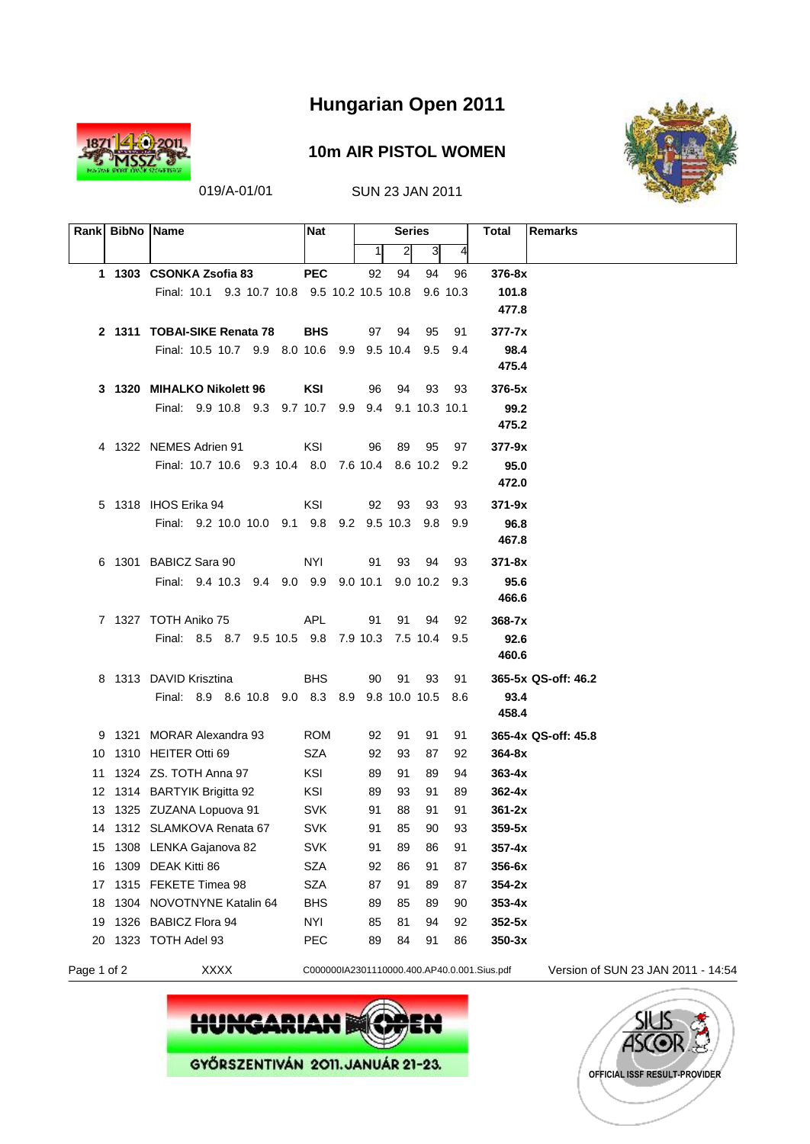

#### **10m AIR PISTOL WOMEN**



019/A-01/01 SUN 23 JAN 2011

|    | Rank BibNo Name |                                                    | <b>Nat</b> |          | <b>Series</b>  |          |          | <b>Remarks</b><br>Total           |
|----|-----------------|----------------------------------------------------|------------|----------|----------------|----------|----------|-----------------------------------|
|    |                 |                                                    |            | 11       | $\overline{2}$ | 31       | 4        |                                   |
|    |                 | 1 1303 CSONKA Zsofia 83                            | <b>PEC</b> | 92       | 94             | 94       | 96       | 376-8x                            |
|    |                 | Final: 10.1 9.3 10.7 10.8 9.5 10.2 10.5 10.8       |            |          |                |          | 9.6 10.3 | 101.8                             |
|    |                 |                                                    |            |          |                |          |          | 477.8                             |
|    |                 | 2 1311 TOBAI-SIKE Renata 78                        | <b>BHS</b> |          | 97 94          | 95       | 91       | $377 - 7x$                        |
|    |                 | Final: 10.5 10.7 9.9 8.0 10.6 9.9 9.5 10.4         |            |          |                | 9.5      | 9.4      | 98.4                              |
|    |                 |                                                    |            |          |                |          |          | 475.4                             |
|    |                 | 3 1320 MIHALKO Nikolett 96                         | KSI        | 96       | - 94           | 93       | - 93     | $376-5x$                          |
|    |                 | Final: 9.9 10.8 9.3 9.7 10.7 9.9 9.4 9.1 10.3 10.1 |            |          |                |          |          | 99.2                              |
|    |                 |                                                    |            |          |                |          |          | 475.2                             |
|    |                 | 4 1322 NEMES Adrien 91                             | KSI        | 96       | 89             | 95       | 97       | 377-9x                            |
|    |                 | Final: 10.7 10.6 9.3 10.4 8.0 7.6 10.4 8.6 10.2    |            |          |                |          | 9.2      | 95.0                              |
|    |                 |                                                    |            |          |                |          |          | 472.0                             |
|    |                 | 5 1318 IHOS Erika 94                               | KSI        | 92       | - 93           | 93       | 93       | $371 - 9x$                        |
|    |                 | Final: 9.2 10.0 10.0 9.1 9.8 9.2 9.5 10.3          |            |          |                | 9.8      | 9.9      | 96.8                              |
|    |                 |                                                    |            |          |                |          |          | 467.8                             |
|    |                 | 6 1301 BABICZ Sara 90                              | <b>NYI</b> | 91       | 93             | 94       | 93       | 371-8x                            |
|    |                 | Final: 9.4 10.3 9.4 9.0 9.9 9.0 10.1 9.0 10.2 9.3  |            |          |                |          |          | 95.6                              |
|    |                 |                                                    |            |          |                |          |          | 466.6                             |
|    |                 | 7 1327 TOTH Aniko 75                               | <b>APL</b> | 91       | 91             | 94       | 92       | $368 - 7x$                        |
|    |                 | Final: 8.5 8.7 9.5 10.5 9.8 7.9 10.3 7.5 10.4      |            |          |                |          | 9.5      | 92.6<br>460.6                     |
|    |                 |                                                    |            |          |                |          |          |                                   |
|    |                 | 8 1313 DAVID Krisztina                             | <b>BHS</b> | 90       | 91             | 93       | 91       | 365-5x QS-off: 46.2               |
|    |                 | Final: 8.9 8.6 10.8 9.0 8.3 8.9 9.8 10.0 10.5 8.6  |            |          |                |          |          | 93.4<br>458.4                     |
|    |                 | 9 1321 MORAR Alexandra 93                          | <b>ROM</b> |          |                |          |          |                                   |
|    |                 | 10 1310 HEITER Otti 69                             | SZA        | 92<br>92 | 91<br>93       | 91<br>87 | 91<br>92 | 365-4x QS-off: 45.8<br>$364 - 8x$ |
|    |                 | 11 1324 ZS, TOTH Anna 97                           | KSI        | 89       | 91             | 89       | 94       | $363 - 4x$                        |
|    |                 | 12 1314 BARTYIK Brigitta 92                        | KSI        | 89       | 93             | 91       | 89       | $362 - 4x$                        |
|    |                 | 13 1325 ZUZANA Lopuova 91                          | <b>SVK</b> | 91       | 88             | 91       | 91       | $361 - 2x$                        |
|    |                 | 14 1312 SLAMKOVA Renata 67                         | <b>SVK</b> | 91       | 85             | 90       | 93       | 359-5x                            |
|    |                 | 15 1308 LENKA Gajanova 82                          | <b>SVK</b> | 91       | 89             | 86       | 91       | $357 - 4x$                        |
| 16 |                 | 1309 DEAK Kitti 86                                 | <b>SZA</b> | 92       | 86             | 91       | 87       | 356-6x                            |
| 17 |                 | 1315 FEKETE Timea 98                               | <b>SZA</b> | 87       | 91             | 89       | 87       | $354-2x$                          |
| 18 |                 | 1304 NOVOTNYNE Katalin 64                          | <b>BHS</b> | 89       | 85             | 89       | 90       | $353 - 4x$                        |
| 19 |                 | 1326 BABICZ Flora 94                               | <b>NYI</b> | 85       | 81             | 94       | 92       | $352 - 5x$                        |
| 20 |                 | 1323 TOTH Adel 93                                  | PEC        | 89       | 84             | 91       | 86       | $350-3x$                          |
|    |                 |                                                    |            |          |                |          |          |                                   |





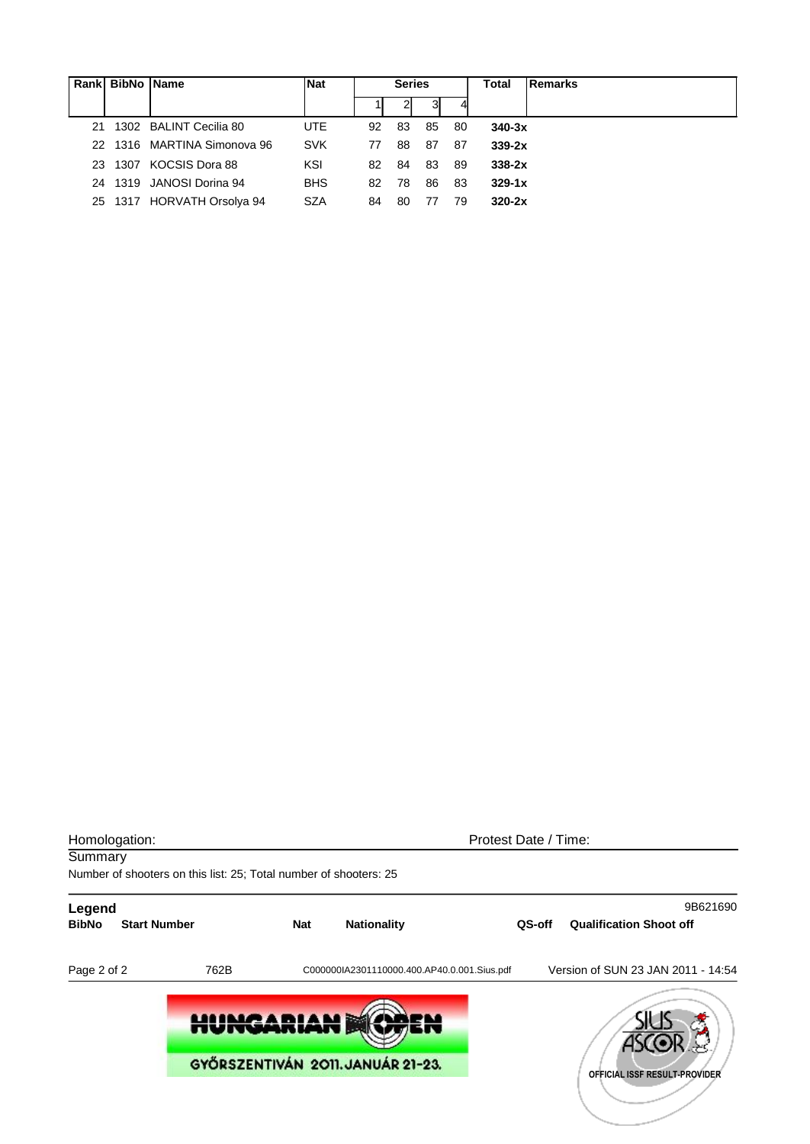| Rankl | <b>BibNo Name</b> |                             | <b>Nat</b> | <b>Series</b> |    |    |    | Total      | <b>Remarks</b> |
|-------|-------------------|-----------------------------|------------|---------------|----|----|----|------------|----------------|
|       |                   |                             |            |               |    | 31 |    |            |                |
| 21    |                   | 1302 BALINT Cecilia 80      | <b>UTE</b> | 92            | 83 | 85 | 80 | $340-3x$   |                |
|       |                   | 22 1316 MARTINA Simonova 96 | <b>SVK</b> | 77            | 88 | 87 | 87 | $339-2x$   |                |
| 23.   |                   | 1307 KOCSIS Dora 88         | KSI        | 82            | 84 | 83 | 89 | $338-2x$   |                |
|       |                   | 24 1319 JANOSI Dorina 94    | <b>BHS</b> | 82            | 78 | 86 | 83 | $329 - 1x$ |                |
|       |                   | 25 1317 HORVATH Orsolya 94  | <b>SZA</b> | 84            | 80 | 77 | 79 | $320-2x$   |                |

| Homologation:          |                                                                   |     |                                             | Protest Date / Time: |                                            |
|------------------------|-------------------------------------------------------------------|-----|---------------------------------------------|----------------------|--------------------------------------------|
| Summary                |                                                                   |     |                                             |                      |                                            |
|                        | Number of shooters on this list: 25; Total number of shooters: 25 |     |                                             |                      |                                            |
| Legend<br><b>BibNo</b> | <b>Start Number</b>                                               | Nat | <b>Nationality</b>                          | QS-off               | 9B621690<br><b>Qualification Shoot off</b> |
| Page 2 of 2            | 762B                                                              |     | C000000IA2301110000.400.AP40.0.001.Sius.pdf |                      | Version of SUN 23 JAN 2011 - 14:54         |
|                        | <b>HUNGARIAN</b>                                                  |     |                                             |                      |                                            |
|                        |                                                                   |     | GYŐRSZENTIVÁN 2011. JANUÁR 21-23.           |                      | OFFICIAL ISSF RESULT-PROVIDER              |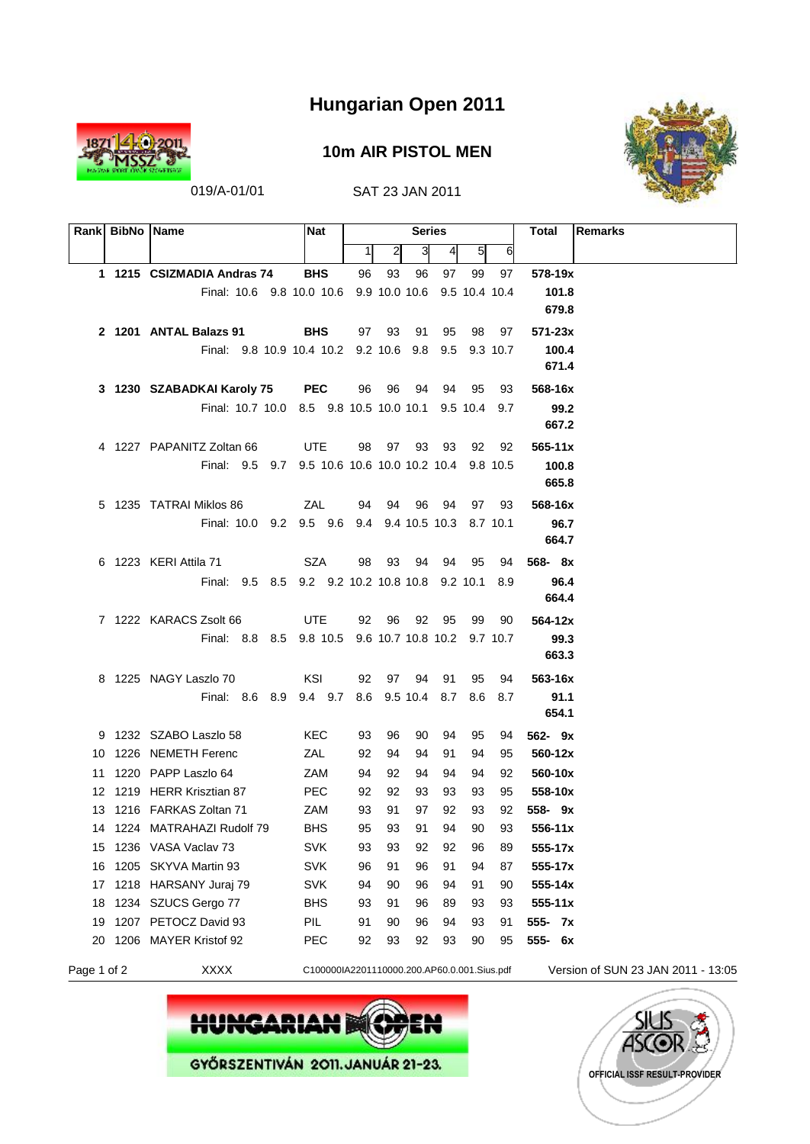

#### **10m AIR PISTOL MEN**



019/A-01/01 SAT 23 JAN 2011

|             | Rank BibNo Name |                                                      | <b>Nat</b>                                  |    |              | <b>Series</b> |                 |               |    | <b>Remarks</b><br>Total            |
|-------------|-----------------|------------------------------------------------------|---------------------------------------------|----|--------------|---------------|-----------------|---------------|----|------------------------------------|
|             |                 |                                                      |                                             | 1  | $\mathbf{2}$ | 3             | $\vert 4 \vert$ | 51            | 6  |                                    |
|             |                 | 1 1215 CSIZMADIA Andras 74                           | <b>BHS</b>                                  | 96 | 93           | 96            | 97              | 99            | 97 | 578-19x                            |
|             |                 | Final: 10.6 9.8 10.0 10.6 9.9 10.0 10.6              |                                             |    |              |               |                 | 9.5 10.4 10.4 |    | 101.8                              |
|             |                 |                                                      |                                             |    |              |               |                 |               |    | 679.8                              |
|             |                 | 2 1201 ANTAL Balazs 91                               | <b>BHS</b>                                  | 97 | 93           | - 91          | 95              | 98            | 97 | $571 - 23x$                        |
|             |                 | Final: 9.8 10.9 10.4 10.2 9.2 10.6 9.8 9.5 9.3 10.7  |                                             |    |              |               |                 |               |    | 100.4                              |
|             |                 |                                                      |                                             |    |              |               |                 |               |    | 671.4                              |
|             |                 | 3 1230 SZABADKAI Karoly 75                           | <b>PEC</b>                                  | 96 | - 96         | - 94          |                 | 94 95         | 93 | 568-16x                            |
|             |                 | Final: 10.7 10.0 8.5 9.8 10.5 10.0 10.1 9.5 10.4 9.7 |                                             |    |              |               |                 |               |    | 99.2                               |
|             |                 |                                                      |                                             |    |              |               |                 |               |    | 667.2                              |
|             |                 | 4 1227 PAPANITZ Zoltan 66                            | UTE                                         | 98 |              |               | 97 93 93        | 92            | 92 | $565 - 11x$                        |
|             |                 | Final: 9.5 9.7 9.5 10.6 10.6 10.0 10.2 10.4 9.8 10.5 |                                             |    |              |               |                 |               |    | 100.8                              |
|             |                 |                                                      |                                             |    |              |               |                 |               |    | 665.8                              |
|             |                 | 5 1235 TATRAI Miklos 86                              | ZAL                                         | 94 |              | 94 96         | - 94            | 97            | 93 | 568-16x                            |
|             |                 | Final: 10.0 9.2 9.5 9.6 9.4 9.4 10.5 10.3 8.7 10.1   |                                             |    |              |               |                 |               |    | 96.7                               |
|             |                 |                                                      |                                             |    |              |               |                 |               |    | 664.7                              |
|             |                 | 6 1223 KERI Attila 71                                | SZA                                         | 98 | 93           | 94            |                 | 94 95         | 94 | $568 - 8x$                         |
|             |                 | Final: 9.5 8.5 9.2 9.2 10.2 10.8 10.8 9.2 10.1 8.9   |                                             |    |              |               |                 |               |    | 96.4                               |
|             |                 |                                                      |                                             |    |              |               |                 |               |    | 664.4                              |
|             |                 | 7 1222 KARACS Zsolt 66                               | <b>UTE</b>                                  | 92 | - 96         |               | 92 95           | 99            | 90 | 564-12x                            |
|             |                 | Final: 8.8 8.5 9.8 10.5 9.6 10.7 10.8 10.2 9.7 10.7  |                                             |    |              |               |                 |               |    | 99.3                               |
|             |                 |                                                      |                                             |    |              |               |                 |               |    | 663.3                              |
|             |                 | 8 1225 NAGY Laszlo 70                                | KSI                                         | 92 |              | 97 94         | 91              | 95            | 94 | 563-16x                            |
|             |                 | Final: 8.6 8.9 9.4 9.7 8.6 9.5 10.4 8.7 8.6 8.7      |                                             |    |              |               |                 |               |    | 91.1                               |
|             |                 |                                                      |                                             |    |              |               |                 |               |    | 654.1                              |
|             |                 | 9 1232 SZABO Laszlo 58                               | KEC                                         | 93 | 96           | 90            | 94              | 95            | 94 | $562 - 9x$                         |
|             |                 | 10 1226 NEMETH Ferenc                                | ZAL                                         | 92 | 94           | 94            | 91              | 94            | 95 | 560-12x                            |
|             |                 | 11 1220 PAPP Laszlo 64                               | ZAM                                         | 94 | 92           | 94            | 94              | 94            | 92 | 560-10x                            |
|             |                 | 12 1219 HERR Krisztian 87                            | <b>PEC</b>                                  | 92 | 92           | 93            | 93              | 93            | 95 | 558-10x                            |
|             |                 | 13 1216 FARKAS Zoltan 71                             | ZAM                                         | 93 | 91           | 97            | 92              | 93            | 92 | 558-9x                             |
|             |                 | 14 1224 MATRAHAZI Rudolf 79                          | <b>BHS</b>                                  | 95 | 93           | 91            | 94              | 90            | 93 | 556-11x                            |
|             |                 | 15 1236 VASA Vaclav 73                               | <b>SVK</b>                                  | 93 | 93           | 92            | 92              | 96            | 89 | 555-17x                            |
| 16          |                 | 1205 SKYVA Martin 93                                 | <b>SVK</b>                                  | 96 | 91           | 96            | 91              | 94            | 87 | 555-17x                            |
| 17          |                 | 1218 HARSANY Juraj 79                                | <b>SVK</b>                                  | 94 | 90           | 96            | 94              | 91            | 90 | 555-14x                            |
| 18          |                 | 1234 SZUCS Gergo 77                                  | <b>BHS</b>                                  | 93 | 91           | 96            | 89              | 93            | 93 | $555 - 11x$                        |
| 19          |                 | 1207 PETOCZ David 93                                 | PIL                                         | 91 | 90           | 96            | 94              | 93            | 91 | 555- 7x                            |
|             |                 | 20 1206 MAYER Kristof 92                             | <b>PEC</b>                                  | 92 | 93           | 92            | 93              | 90            | 95 | 555- 6x                            |
| Page 1 of 2 |                 | <b>XXXX</b>                                          | C100000IA2201110000.200.AP60.0.001.Sius.pdf |    |              |               |                 |               |    | Version of SUN 23 JAN 2011 - 13:05 |



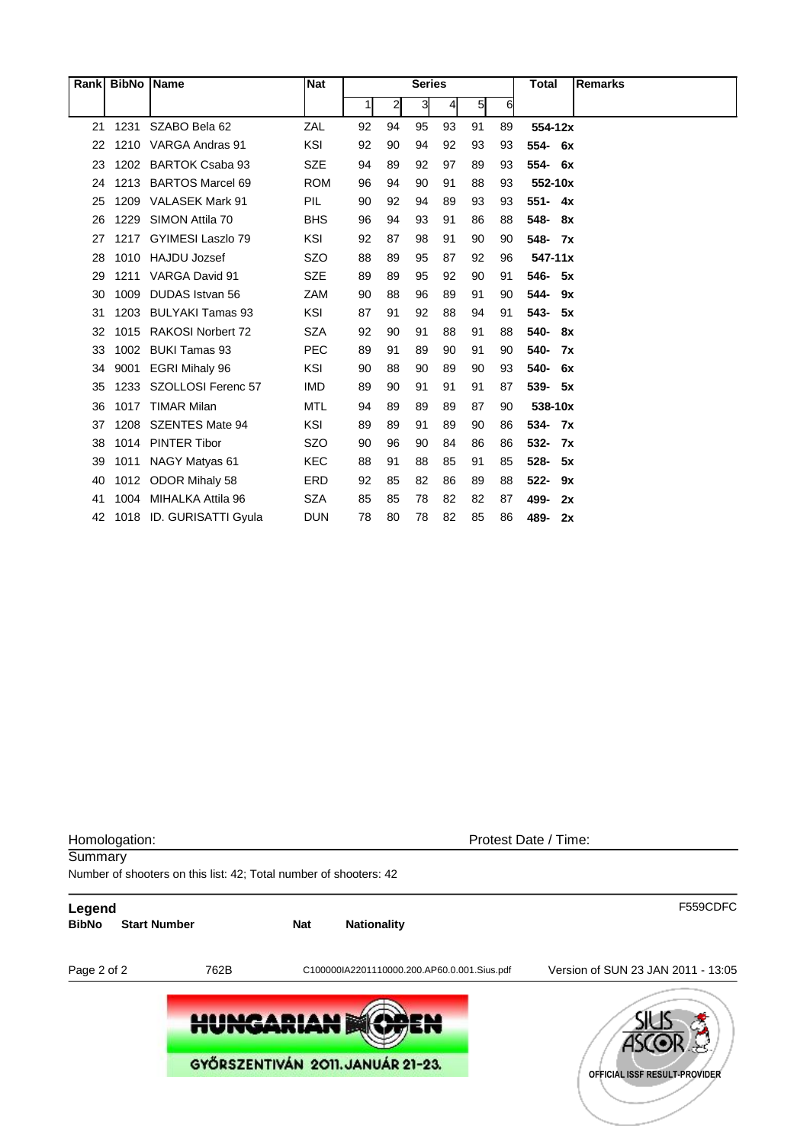|    | Rank BibNo Name |                          | <b>Nat</b> |    |              | <b>Series</b> |               |                |    | Total           | <b>Remarks</b> |
|----|-----------------|--------------------------|------------|----|--------------|---------------|---------------|----------------|----|-----------------|----------------|
|    |                 |                          |            | 1  | $\mathbf{2}$ | $\mathbf{3}$  | $\frac{4}{ }$ | 5 <sub>l</sub> | 6  |                 |                |
| 21 | 1231            | SZABO Bela 62            | ZAL        | 92 | 94           | 95            | 93            | 91             | 89 | 554-12x         |                |
| 22 |                 | 1210 VARGA Andras 91     | KSI        | 92 | 90           | 94            | 92            | 93             | 93 | 554- 6x         |                |
| 23 | 1202            | <b>BARTOK Csaba 93</b>   | <b>SZE</b> | 94 | 89           | 92            | 97            | 89             | 93 | 554-<br>6x      |                |
| 24 |                 | 1213 BARTOS Marcel 69    | <b>ROM</b> | 96 | 94           | 90            | 91            | 88             | 93 | 552-10x         |                |
| 25 |                 | 1209 VALASEK Mark 91     | PIL        | 90 | 92           | 94            | 89            | 93             | 93 | $551 - 4x$      |                |
| 26 | 1229            | SIMON Attila 70          | <b>BHS</b> | 96 | 94           | 93            | 91            | 86             | 88 | 548-<br>8x      |                |
| 27 | 1217            | GYIMESI Laszlo 79        | <b>KSI</b> | 92 | 87           | 98            | 91            | 90             | 90 | 548- 7x         |                |
| 28 |                 | 1010 HAJDU Jozsef        | <b>SZO</b> | 88 | 89           | 95            | 87            | 92             | 96 | $547 - 11x$     |                |
| 29 |                 | 1211 VARGA David 91      | <b>SZE</b> | 89 | 89           | 95            | 92            | 90             | 91 | 546- 5x         |                |
| 30 | 1009            | <b>DUDAS</b> Istvan 56   | ZAM        | 90 | 88           | 96            | 89            | 91             | 90 | 544-<br>9x      |                |
| 31 | 1203            | <b>BULYAKI Tamas 93</b>  | KSI        | 87 | 91           | 92            | 88            | 94             | 91 | $543 -$<br>- 5x |                |
| 32 | 1015            | <b>RAKOSI Norbert 72</b> | <b>SZA</b> | 92 | 90           | 91            | 88            | 91             | 88 | 540-<br>8x      |                |
| 33 | 1002            | <b>BUKI Tamas 93</b>     | <b>PEC</b> | 89 | 91           | 89            | 90            | 91             | 90 | 540-<br>7x      |                |
| 34 | 9001            | <b>EGRI Mihaly 96</b>    | <b>KSI</b> | 90 | 88           | 90            | 89            | 90             | 93 | 540-<br>6x      |                |
| 35 | 1233            | SZOLLOSI Ferenc 57       | <b>IMD</b> | 89 | 90           | 91            | 91            | 91             | 87 | 539-<br>- 5x    |                |
| 36 | 1017            | <b>TIMAR Milan</b>       | <b>MTL</b> | 94 | 89           | 89            | 89            | 87             | 90 | 538-10x         |                |
| 37 | 1208            | <b>SZENTES Mate 94</b>   | KSI        | 89 | 89           | 91            | 89            | 90             | 86 | $534 -$<br>7x   |                |
| 38 |                 | 1014 PINTER Tibor        | <b>SZO</b> | 90 | 96           | 90            | 84            | 86             | 86 | 532-<br>7x      |                |
| 39 | 1011            | NAGY Matyas 61           | <b>KEC</b> | 88 | 91           | 88            | 85            | 91             | 85 | 528-<br>5x      |                |
| 40 |                 | 1012 ODOR Mihaly 58      | ERD        | 92 | 85           | 82            | 86            | 89             | 88 | $522 -$<br>9x   |                |
| 41 | 1004            | MIHALKA Attila 96        | <b>SZA</b> | 85 | 85           | 78            | 82            | 82             | 87 | 499-<br>2x      |                |
| 42 |                 | 1018 ID. GURISATTI Gyula | <b>DUN</b> | 78 | 80           | 78            | 82            | 85             | 86 | 489-<br>2x      |                |

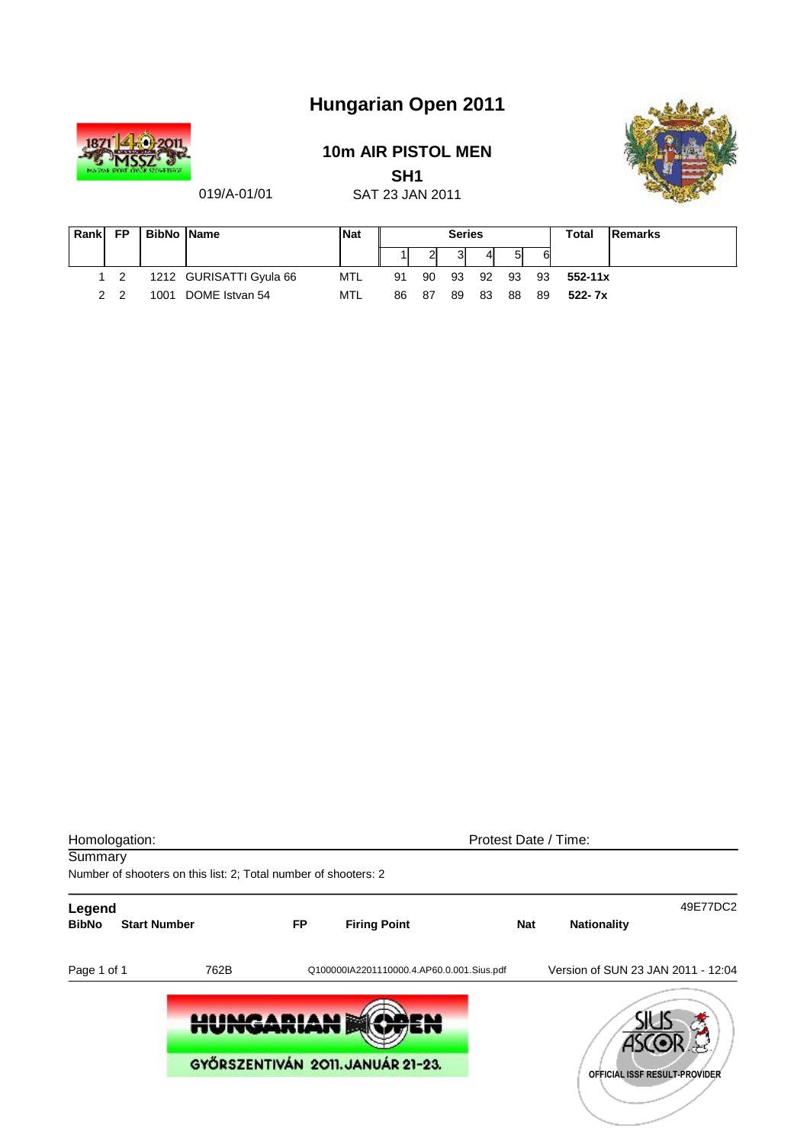

### **10m AIR PISTOL MEN**

**SH1** 



019/A-01/01

|  | SAT 23 JAN 2011 |  |  |
|--|-----------------|--|--|
|  |                 |  |  |
|  |                 |  |  |

| Rank | <b>FP</b>      | <b>BibNo Name</b> |                         | <b>Nat</b> | <b>Series</b> |      |    |    |    |    | <b>Total</b> | <b>IRemarks</b> |
|------|----------------|-------------------|-------------------------|------------|---------------|------|----|----|----|----|--------------|-----------------|
|      |                |                   |                         |            |               |      |    | 41 | 51 | 6  |              |                 |
|      | $1\quad 2$     |                   | 1212 GURISATTI Gyula 66 | MTL        | 91            | 90   | 93 | 92 | 93 | 93 | $552 - 11x$  |                 |
|      | 2 <sub>2</sub> | 1001              | DOME Istvan 54          | MTL        | 86            | - 87 | 89 | 83 | 88 | 89 | $522 - 7x$   |                 |

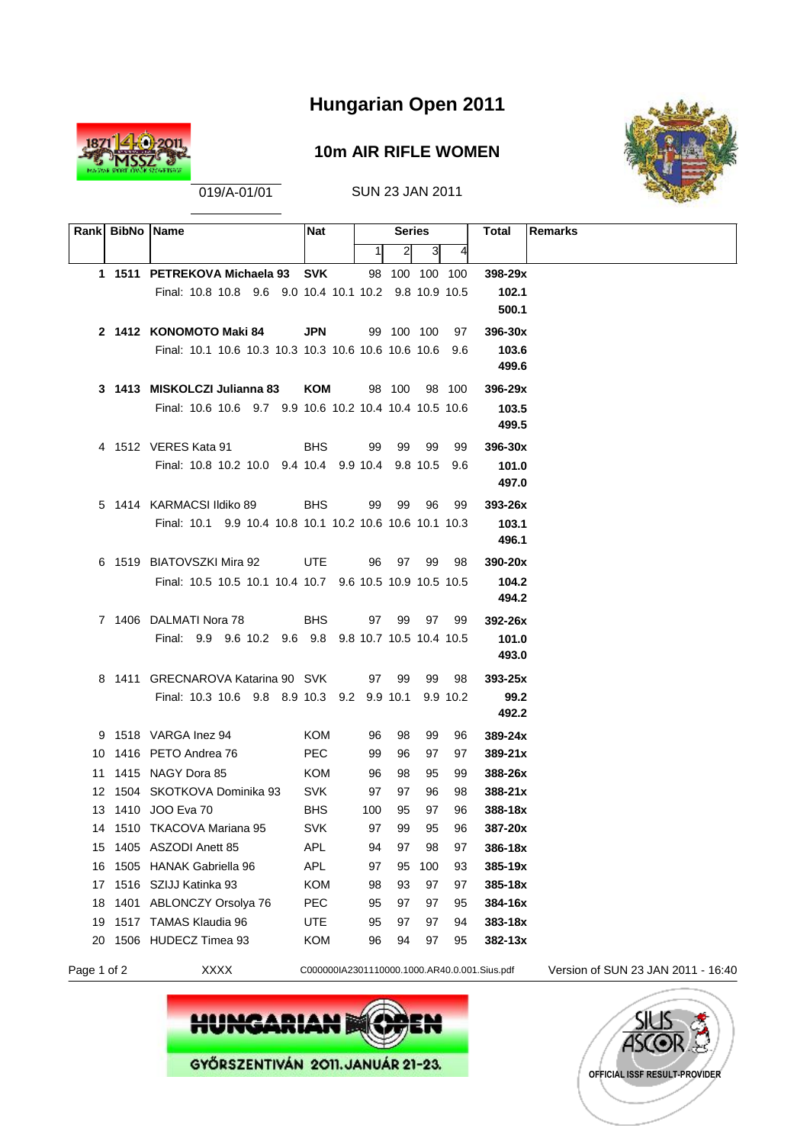

#### **10m AIR RIFLE WOMEN**



019/A-01/01 SUN 23 JAN 2011

|    | Rank BibNo Name |                                                                               | <b>Nat</b> |     | <b>Series</b>  |     |        | Remarks<br>Total |  |
|----|-----------------|-------------------------------------------------------------------------------|------------|-----|----------------|-----|--------|------------------|--|
|    |                 |                                                                               |            | 11  | 21             | 3   | 4      |                  |  |
|    |                 | 1 1511 PETREKOVA Michaela 93 SVK                                              |            |     | 98 100 100 100 |     |        | 398-29x          |  |
|    |                 | Final: 10.8 10.8 9.6 9.0 10.4 10.1 10.2 9.8 10.9 10.5                         |            |     |                |     |        | 102.1            |  |
|    |                 |                                                                               |            |     |                |     |        | 500.1            |  |
|    |                 | 2 1412 KONOMOTO Maki 84                                                       | <b>JPN</b> |     | 99 100 100     |     | 97     | $396 - 30x$      |  |
|    |                 | Final: 10.1 10.6 10.3 10.3 10.3 10.6 10.6 10.6 10.6 9.6                       |            |     |                |     |        | 103.6            |  |
|    |                 |                                                                               |            |     |                |     |        | 499.6            |  |
|    |                 | 3 1413 MISKOLCZI Julianna 83 KOM                                              |            |     | 98 100         |     | 98 100 | $396 - 29x$      |  |
|    |                 | Final: 10.6 10.6 9.7 9.9 10.6 10.2 10.4 10.4 10.5 10.6                        |            |     |                |     |        | 103.5            |  |
|    |                 |                                                                               |            |     |                |     |        | 499.5            |  |
|    |                 | 4 1512 VERES Kata 91<br><b>EXAMPLE SERVICE SERVICE</b>                        |            |     | 99 99          | 99  | 99     | $396 - 30x$      |  |
|    |                 | Final: 10.8 10.2 10.0 9.4 10.4 9.9 10.4 9.8 10.5 9.6                          |            |     |                |     |        | 101.0            |  |
|    |                 |                                                                               |            |     |                |     |        | 497.0            |  |
|    |                 | 5 1414 KARMACSI Ildiko 89 BHS                                                 |            | 99  | 99             | 96  | 99     | $393 - 26x$      |  |
|    |                 | Final: 10.1 9.9 10.4 10.8 10.1 10.2 10.6 10.6 10.1 10.3                       |            |     |                |     |        | 103.1<br>496.1   |  |
|    |                 |                                                                               |            |     |                |     |        |                  |  |
|    |                 | 6 1519 BIATOVSZKI Mira 92 UTE                                                 |            |     | 96 97 99       |     | 98     | 390-20x          |  |
|    |                 | Final: 10.5 10.5 10.1 10.4 10.7 9.6 10.5 10.9 10.5 10.5                       |            |     |                |     |        | 104.2<br>494.2   |  |
|    |                 |                                                                               |            |     |                |     |        |                  |  |
|    |                 | 7 1406 DALMATI Nora 78<br>Final: 9.9 9.6 10.2 9.6 9.8 9.8 10.7 10.5 10.4 10.5 | BHS        |     | 97 99          | 97  | 99     | 392-26x<br>101.0 |  |
|    |                 |                                                                               |            |     |                |     |        | 493.0            |  |
|    |                 | 8 1411 GRECNAROVA Katarina 90 SVK                                             |            |     | 97 99          | 99  | 98     | $393 - 25x$      |  |
|    |                 | Final: 10.3 10.6 9.8 8.9 10.3 9.2 9.9 10.1 9.9 10.2                           |            |     |                |     |        | 99.2             |  |
|    |                 |                                                                               |            |     |                |     |        | 492.2            |  |
|    |                 | 9 1518 VARGA Inez 94                                                          | KOM        | 96  | 98             | 99  | 96     | $389 - 24x$      |  |
|    |                 | 10 1416 PETO Andrea 76                                                        | <b>PEC</b> | 99  | 96             | 97  | 97     | $389 - 21x$      |  |
|    |                 | 11 1415 NAGY Dora 85<br><b>Example 2015</b>                                   |            | 96  | 98             | 95  | 99     | 388-26x          |  |
|    |                 | 12 1504 SKOTKOVA Dominika 93                                                  | SVK        | 97  | 97             | 96  | 98     | $388 - 21x$      |  |
|    |                 | 13 1410 JOO Eva 70                                                            | <b>BHS</b> | 100 | 95             | 97  | 96     | 388-18x          |  |
|    |                 | 14 1510 TKACOVA Mariana 95                                                    | SVK        | 97  | 99             | 95  | 96     | 387-20x          |  |
| 15 |                 | 1405 ASZODI Anett 85                                                          | <b>APL</b> | 94  | 97             | 98  | 97     | 386-18x          |  |
| 16 |                 | 1505 HANAK Gabriella 96                                                       | <b>APL</b> | 97  | 95             | 100 | 93     | 385-19x          |  |
| 17 |                 | 1516 SZIJJ Katinka 93                                                         | <b>KOM</b> | 98  | 93             | 97  | 97     | 385-18x          |  |
| 18 |                 | 1401 ABLONCZY Orsolya 76                                                      | <b>PEC</b> | 95  | 97             | 97  | 95     | 384-16x          |  |
| 19 |                 | 1517 TAMAS Klaudia 96                                                         | <b>UTE</b> | 95  | 97             | 97  | 94     | 383-18x          |  |
| 20 |                 | 1506 HUDECZ Timea 93                                                          | KOM        | 96  | 94             | 97  | 95     | $382 - 13x$      |  |

Page 1 of 2 XXXX C000000IA2301110000.1000.AR40.0.001.Sius.pdf Version of SUN 23 JAN 2011 - 16:40



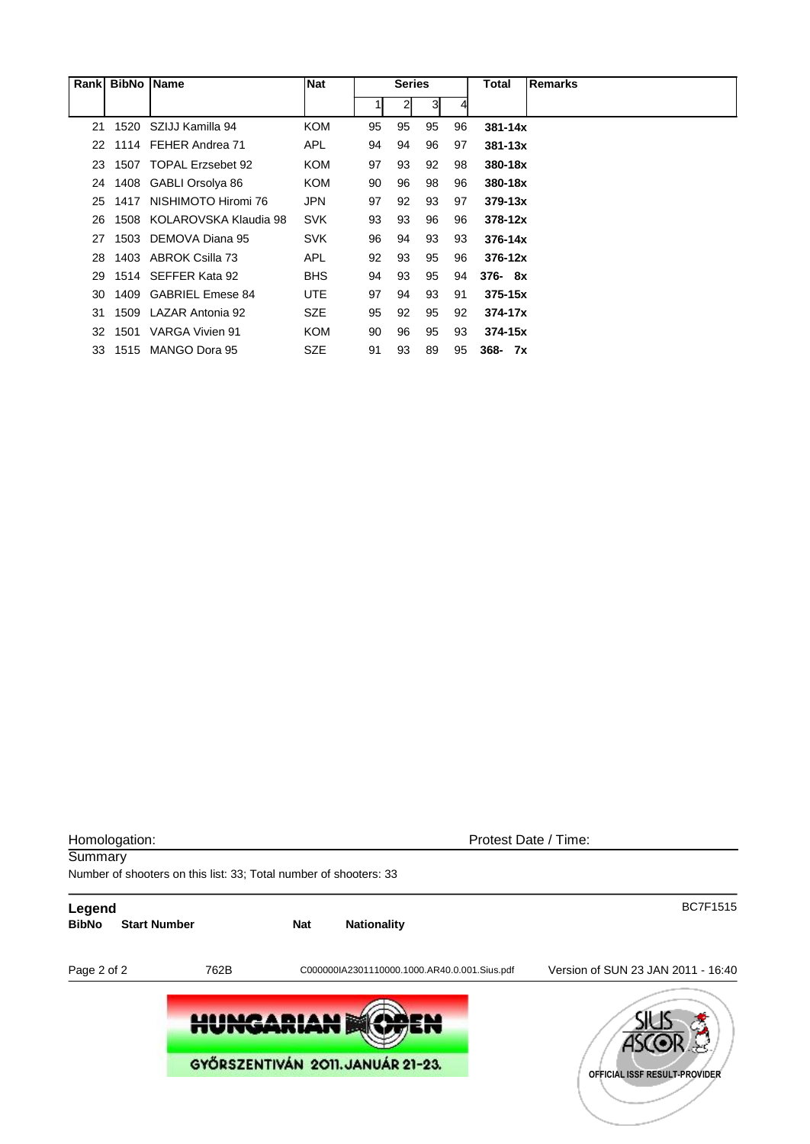| Rank | <b>BibNo</b> | <b>Name</b>                | <b>Nat</b> | <b>Series</b> |                |    |    | Total       | <b>Remarks</b> |
|------|--------------|----------------------------|------------|---------------|----------------|----|----|-------------|----------------|
|      |              |                            |            |               | $\overline{2}$ | 3  | 4  |             |                |
| 21   | 1520         | SZIJJ Kamilla 94           | <b>KOM</b> | 95            | 95             | 95 | 96 | $381 - 14x$ |                |
| 22.  |              | 1114 FEHER Andrea 71       | <b>APL</b> | 94            | 94             | 96 | 97 | $381 - 13x$ |                |
| 23   |              | 1507 TOPAL Erzsebet 92     | <b>KOM</b> | 97            | 93             | 92 | 98 | 380-18x     |                |
| 24   |              | 1408 GABLI Orsolya 86      | <b>KOM</b> | 90            | 96             | 98 | 96 | 380-18x     |                |
| 25   | 1417         | NISHIMOTO Hiromi 76        | <b>JPN</b> | 97            | 92             | 93 | 97 | $379 - 13x$ |                |
| 26   |              | 1508 KOLAROVSKA Klaudia 98 | <b>SVK</b> | 93            | 93             | 96 | 96 | $378 - 12x$ |                |
| 27   |              | 1503 DEMOVA Diana 95       | <b>SVK</b> | 96            | 94             | 93 | 93 | $376 - 14x$ |                |
| 28   |              | 1403 ABROK Csilla 73       | <b>APL</b> | 92            | 93             | 95 | 96 | $376 - 12x$ |                |
| 29   |              | 1514 SEFFER Kata 92        | <b>BHS</b> | 94            | 93             | 95 | 94 | $376 - 8x$  |                |
| 30   |              | 1409 GABRIEL Emese 84      | <b>UTE</b> | 97            | 94             | 93 | 91 | $375 - 15x$ |                |
| 31   | 1509         | LAZAR Antonia 92           | <b>SZE</b> | 95            | 92             | 95 | 92 | $374 - 17x$ |                |
| 32   |              | 1501 VARGA Vivien 91       | <b>KOM</b> | 90            | 96             | 95 | 93 | $374 - 15x$ |                |
| 33   | 1515         | MANGO Dora 95              | <b>SZE</b> | 91            | 93             | 89 | 95 | $368 - 7x$  |                |

| Homologation:<br>Summary |                     |                          |            | Protest Date / Time:<br>Number of shooters on this list: 33; Total number of shooters: 33 |                                                                     |  |  |  |  |  |  |  |  |
|--------------------------|---------------------|--------------------------|------------|-------------------------------------------------------------------------------------------|---------------------------------------------------------------------|--|--|--|--|--|--|--|--|
| Legend<br><b>BibNo</b>   | <b>Start Number</b> |                          | <b>Nat</b> | <b>Nationality</b>                                                                        | <b>BC7F1515</b>                                                     |  |  |  |  |  |  |  |  |
| Page 2 of 2              |                     | 762B<br><b>HUNGARIAN</b> |            | C000000IA2301110000.1000.AR40.0.001.Sius.pdf<br>GYŐRSZENTIVÁN 2011. JANUÁR 21-23.         | Version of SUN 23 JAN 2011 - 16:40<br>OFFICIAL ISSF RESULT-PROVIDER |  |  |  |  |  |  |  |  |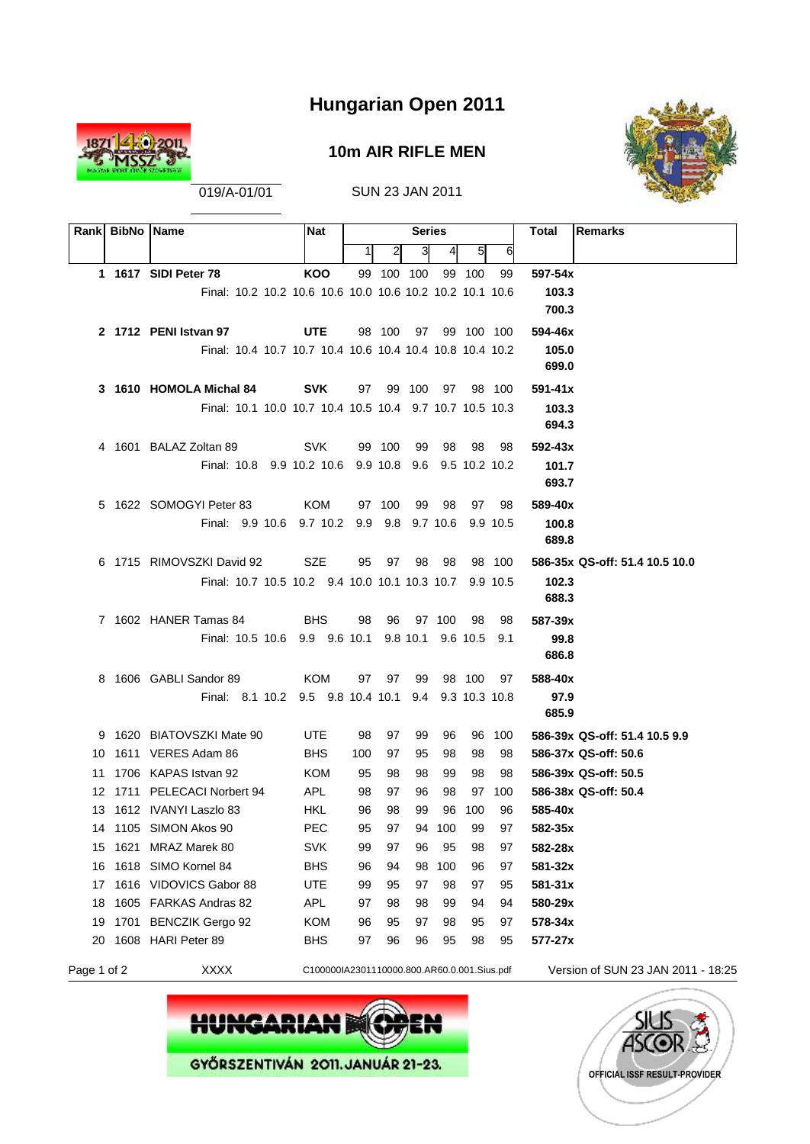

#### **10m AIR RIFLE MEN**



019/A-01/01 SUN 23 JAN 2011

| Rankl       | <b>BibNo Name</b>                                        | <b>Nat</b>                                  |          |            | <b>Series</b> |               |              |                     | <b>Remarks</b><br>Total            |
|-------------|----------------------------------------------------------|---------------------------------------------|----------|------------|---------------|---------------|--------------|---------------------|------------------------------------|
|             |                                                          |                                             | 1        | 2          | 3             | 4             | 51           | 6                   |                                    |
|             | 1 1617 SIDI Peter 78                                     | <b>KOO</b>                                  |          | 99 100 100 |               |               | 99 100       | 99                  | 597-54x                            |
|             | Final: 10.2 10.2 10.6 10.6 10.0 10.6 10.2 10.2 10.1 10.6 |                                             |          |            |               |               |              |                     | 103.3                              |
|             |                                                          |                                             |          |            |               |               |              |                     | 700.3                              |
|             | 2 1712 PENI Istvan 97                                    | <b>UTE</b>                                  |          | 98 100     |               | 97 99 100 100 |              |                     | 594-46x                            |
|             | Final: 10.4 10.7 10.7 10.4 10.6 10.4 10.4 10.8 10.4 10.2 |                                             |          |            |               |               |              |                     | 105.0                              |
|             |                                                          |                                             |          |            |               |               |              |                     | 699.0                              |
|             | 3 1610 HOMOLA Michal 84                                  | <b>SVK</b>                                  |          | 97 99 100  |               |               | 97 98 100    |                     | $591 - 41x$                        |
|             | Final: 10.1 10.0 10.7 10.4 10.5 10.4 9.7 10.7 10.5 10.3  |                                             |          |            |               |               |              |                     | 103.3                              |
|             |                                                          |                                             |          |            |               |               |              |                     | 694.3                              |
|             | 4 1601 BALAZ Zoltan 89                                   | <b>SVK</b>                                  |          | 99 100     | 99            | 98            | 98           | 98<br>9.5 10.2 10.2 | $592 - 43x$<br>101.7               |
|             | Final: 10.8 9.9 10.2 10.6 9.9 10.8 9.6                   |                                             |          |            |               |               |              |                     | 693.7                              |
|             | 5 1622 SOMOGYI Peter 83                                  | KOM                                         |          | 97 100     | 99            | 98            | 97           | 98                  | 589-40x                            |
|             | Final: 9.9 10.6 9.7 10.2 9.9 9.8 9.7 10.6                |                                             |          |            |               |               |              | 9.9 10.5            | 100.8                              |
|             |                                                          |                                             |          |            |               |               |              |                     | 689.8                              |
|             | 6 1715 RIMOVSZKI David 92                                | SZE                                         | 95       | 97         | 98            | 98            |              | 98 100              | 586-35x QS-off: 51.4 10.5 10.0     |
|             | Final: 10.7 10.5 10.2 9.4 10.0 10.1 10.3 10.7 9.9 10.5   |                                             |          |            |               |               |              |                     | 102.3                              |
|             |                                                          |                                             |          |            |               |               |              |                     | 688.3                              |
|             | 7 1602 HANER Tamas 84                                    | <b>BHS</b>                                  | 98       | 96         |               | 97 100        | 98           | 98                  | 587-39x                            |
|             | Final: 10.5 10.6 9.9 9.6 10.1 9.8 10.1 9.6 10.5 9.1      |                                             |          |            |               |               |              |                     | 99.8                               |
|             |                                                          |                                             |          |            |               |               |              |                     | 686.8                              |
|             | 8 1606 GABLI Sandor 89                                   | KOM                                         |          | 97 97      | 99            |               | 98 100       | 97                  | 588-40x                            |
|             | Final: 8.1 10.2 9.5 9.8 10.4 10.1 9.4 9.3 10.3 10.8      |                                             |          |            |               |               |              |                     | 97.9                               |
|             |                                                          |                                             |          |            |               |               |              |                     | 685.9                              |
|             | 9 1620 BIATOVSZKI Mate 90                                | UTE                                         | 98       | 97         | 99            | 96            |              | 96 100              | 586-39x QS-off: 51.4 10.5 9.9      |
|             | 10 1611 VERES Adam 86                                    | <b>BHS</b>                                  | 100      | 97         | 95            | 98            | 98           | 98                  | 586-37x QS-off: 50.6               |
|             | 11 1706 KAPAS Istvan 92                                  | KOM                                         | 95       | 98         | 98            | 99            | 98           | 98                  | 586-39x QS-off: 50.5               |
|             | 12 1711 PELECACI Norbert 94<br>13 1612 IVANYI Laszlo 83  | APL.<br>HKL                                 | 98<br>96 | 97<br>98   | 96<br>99      | 98            | 97<br>96 100 | 100<br>96           | 586-38x QS-off: 50.4<br>585-40x    |
|             | 14 1105 SIMON Akos 90                                    | PEC                                         | 95       | 97         |               | 94 100 99     |              | 97                  | 582-35x                            |
| 15          | 1621 MRAZ Marek 80                                       | <b>SVK</b>                                  | 99       | 97         | 96            | 95            | 98           | 97                  | 582-28x                            |
|             | 16 1618 SIMO Kornel 84                                   | <b>BHS</b>                                  | 96       | 94         | 98            | 100           | 96           | 97                  | 581-32x                            |
| 17          | 1616 VIDOVICS Gabor 88                                   | <b>UTE</b>                                  | 99       | 95         | 97            | 98            | 97           | 95                  | 581-31x                            |
| 18          | 1605 FARKAS Andras 82                                    | APL                                         | 97       | 98         | 98            | 99            | 94           | 94                  | 580-29x                            |
| 19          | 1701 BENCZIK Gergo 92                                    | <b>KOM</b>                                  | 96       | 95         | 97            | 98            | 95           | 97                  | 578-34x                            |
| 20          | 1608 HARI Peter 89                                       | <b>BHS</b>                                  | 97       | 96         | 96            | 95            | 98           | 95                  | 577-27x                            |
| Page 1 of 2 | <b>XXXX</b>                                              | C100000IA2301110000.800.AR60.0.001.Sius.pdf |          |            |               |               |              |                     | Version of SUN 23 JAN 2011 - 18:25 |



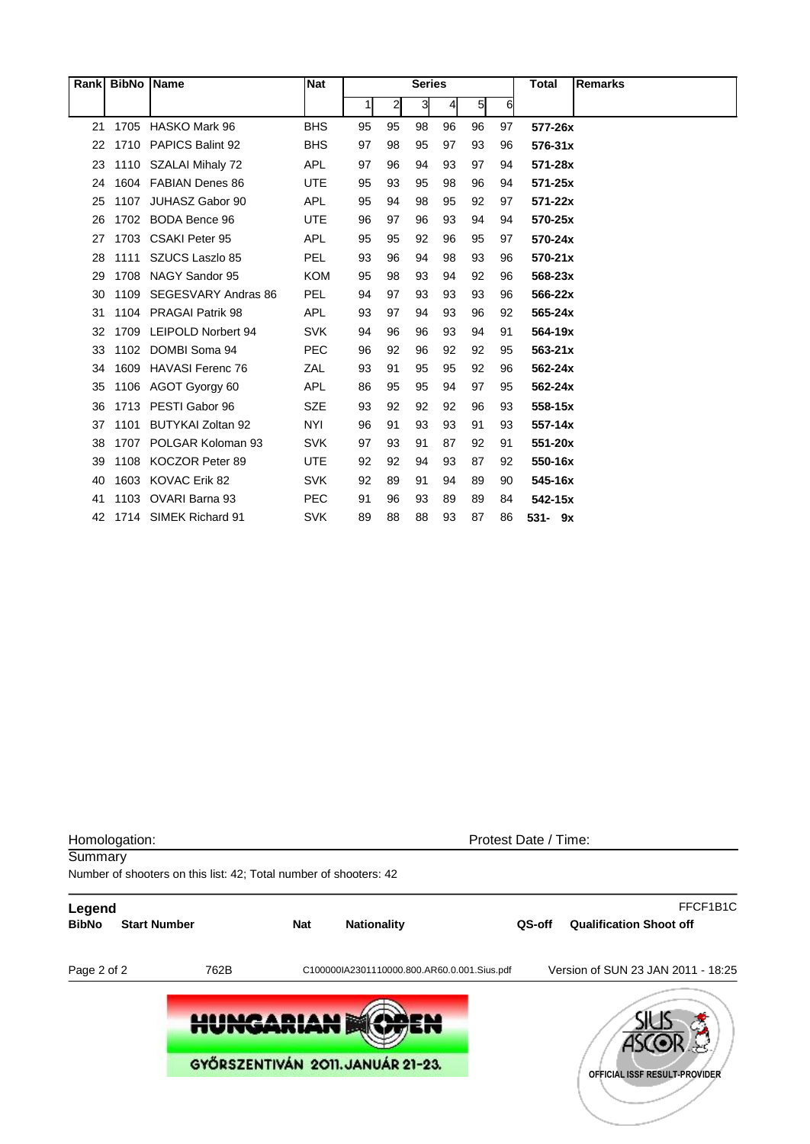|    | Rank BibNo Name |                         | <b>Nat</b> | <b>Series</b> |              |    |    |                |    | <b>Total</b> | <b>Remarks</b> |
|----|-----------------|-------------------------|------------|---------------|--------------|----|----|----------------|----|--------------|----------------|
|    |                 |                         |            | 1             | $\mathbf{2}$ | 3  | 4  | 5 <sub>l</sub> | 6  |              |                |
| 21 | 1705            | HASKO Mark 96           | <b>BHS</b> | 95            | 95           | 98 | 96 | 96             | 97 | 577-26x      |                |
| 22 |                 | 1710 PAPICS Balint 92   | <b>BHS</b> | 97            | 98           | 95 | 97 | 93             | 96 | 576-31x      |                |
| 23 |                 | 1110 SZALAI Mihaly 72   | <b>APL</b> | 97            | 96           | 94 | 93 | 97             | 94 | 571-28x      |                |
| 24 |                 | 1604 FABIAN Denes 86    | <b>UTE</b> | 95            | 93           | 95 | 98 | 96             | 94 | 571-25x      |                |
| 25 | 1107            | JUHASZ Gabor 90         | <b>APL</b> | 95            | 94           | 98 | 95 | 92             | 97 | $571 - 22x$  |                |
| 26 |                 | 1702 BODA Bence 96      | <b>UTE</b> | 96            | 97           | 96 | 93 | 94             | 94 | 570-25x      |                |
| 27 |                 | 1703 CSAKI Peter 95     | <b>APL</b> | 95            | 95           | 92 | 96 | 95             | 97 | 570-24x      |                |
| 28 | 1111            | SZUCS Laszlo 85         | <b>PEL</b> | 93            | 96           | 94 | 98 | 93             | 96 | 570-21x      |                |
| 29 | 1708            | NAGY Sandor 95          | <b>KOM</b> | 95            | 98           | 93 | 94 | 92             | 96 | 568-23x      |                |
| 30 | 1109            | SEGESVARY Andras 86     | <b>PEL</b> | 94            | 97           | 93 | 93 | 93             | 96 | 566-22x      |                |
| 31 |                 | 1104 PRAGAI Patrik 98   | <b>APL</b> | 93            | 97           | 94 | 93 | 96             | 92 | 565-24x      |                |
| 32 | 1709            | LEIPOLD Norbert 94      | <b>SVK</b> | 94            | 96           | 96 | 93 | 94             | 91 | 564-19x      |                |
| 33 | 1102            | DOMBI Soma 94           | <b>PEC</b> | 96            | 92           | 96 | 92 | 92             | 95 | $563 - 21x$  |                |
| 34 | 1609            | <b>HAVASI Ferenc 76</b> | ZAL        | 93            | 91           | 95 | 95 | 92             | 96 | 562-24x      |                |
| 35 |                 | 1106 AGOT Gyorgy 60     | <b>APL</b> | 86            | 95           | 95 | 94 | 97             | 95 | 562-24x      |                |
| 36 |                 | 1713 PESTI Gabor 96     | <b>SZE</b> | 93            | 92           | 92 | 92 | 96             | 93 | 558-15x      |                |
| 37 | 1101            | BUTYKAI Zoltan 92       | <b>NYI</b> | 96            | 91           | 93 | 93 | 91             | 93 | 557-14x      |                |
| 38 | 1707            | POLGAR Koloman 93       | <b>SVK</b> | 97            | 93           | 91 | 87 | 92             | 91 | 551-20x      |                |
| 39 | 1108            | KOCZOR Peter 89         | <b>UTE</b> | 92            | 92           | 94 | 93 | 87             | 92 | 550-16x      |                |
| 40 | 1603            | <b>KOVAC Erik 82</b>    | <b>SVK</b> | 92            | 89           | 91 | 94 | 89             | 90 | 545-16x      |                |
| 41 | 1103            | OVARI Barna 93          | <b>PEC</b> | 91            | 96           | 93 | 89 | 89             | 84 | 542-15x      |                |
| 42 |                 | 1714 SIMEK Richard 91   | <b>SVK</b> | 89            | 88           | 88 | 93 | 87             | 86 | $531 - 9x$   |                |

| Homologation:<br>Summary | Number of shooters on this list: 42; Total number of shooters: 42 | Protest Date / Time: |                                             |        |                                            |  |  |  |
|--------------------------|-------------------------------------------------------------------|----------------------|---------------------------------------------|--------|--------------------------------------------|--|--|--|
| Legend<br><b>BibNo</b>   | <b>Start Number</b>                                               | <b>Nat</b>           | <b>Nationality</b>                          | QS-off | FFCF1B1C<br><b>Qualification Shoot off</b> |  |  |  |
| Page 2 of 2              | 762B                                                              |                      | C100000IA2301110000.800.AR60.0.001.Sius.pdf |        | Version of SUN 23 JAN 2011 - 18:25         |  |  |  |
|                          | <b>HUNGARIAN</b>                                                  |                      |                                             |        |                                            |  |  |  |
|                          |                                                                   |                      | GYŐRSZENTIVÁN 2011. JANUÁR 21-23.           |        | OFFICIAL ISSF RESULT-PROVIDER              |  |  |  |